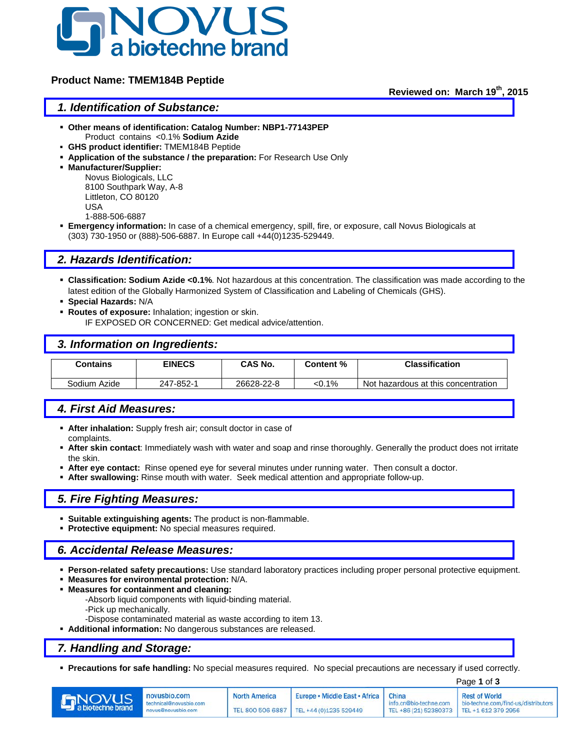

#### **Product Name: TMEM184B Peptide**

**Reviewed on: March 19th, 2015**

#### *1. Identification of Substance:*

- **Other means of identification: Catalog Number: NBP1-77143PEP** Product contains <0.1% **Sodium Azide**
- **GHS product identifier:** TMEM184B Peptide
- **Application of the substance / the preparation:** For Research Use Only
- **Manufacturer/Supplier:**

Novus Biologicals, LLC 8100 Southpark Way, A-8 Littleton, CO 80120 USA 1-888-506-6887

 **Emergency information:** In case of a chemical emergency, spill, fire, or exposure, call Novus Biologicals at (303) 730-1950 or (888)-506-6887. In Europe call +44(0)1235-529449.

## *2. Hazards Identification:*

- **Classification: Sodium Azide <0.1%**. Not hazardous at this concentration. The classification was made according to the latest edition of the Globally Harmonized System of Classification and Labeling of Chemicals (GHS).
- **Special Hazards:** N/A
- **Routes of exposure:** Inhalation; ingestion or skin.

IF EXPOSED OR CONCERNED: Get medical advice/attention.

#### *3. Information on Ingredients:*

| Contains     | <b>EINECS</b> | CAS No.    | Content % | <b>Classification</b>               |
|--------------|---------------|------------|-----------|-------------------------------------|
|              |               |            |           |                                     |
| Sodium Azide | 247-852-1     | 26628-22-8 | <0.1%     | Not hazardous at this concentration |

# *4. First Aid Measures:*

- **After inhalation:** Supply fresh air; consult doctor in case of complaints.
- **After skin contact**: Immediately wash with water and soap and rinse thoroughly. Generally the product does not irritate the skin.
- **After eye contact:** Rinse opened eye for several minutes under running water. Then consult a doctor.
- **After swallowing:** Rinse mouth with water. Seek medical attention and appropriate follow-up.

#### *5. Fire Fighting Measures:*

- **Suitable extinguishing agents:** The product is non-flammable.
- **Protective equipment:** No special measures required.

## *6. Accidental Release Measures:*

- **Person-related safety precautions:** Use standard laboratory practices including proper personal protective equipment.
- **Measures for environmental protection:** N/A.
- **Measures for containment and cleaning:**
	- -Absorb liquid components with liquid-binding material.
	- -Pick up mechanically.
	- -Dispose contaminated material as waste according to item 13.
- **Additional information:** No dangerous substances are released.

#### *7. Handling and Storage:*

**Precautions for safe handling:** No special measures required. No special precautions are necessary if used correctly.

|                |                                                              |                      | Page 1 of 3                                                                        |                                                                       |                                                             |
|----------------|--------------------------------------------------------------|----------------------|------------------------------------------------------------------------------------|-----------------------------------------------------------------------|-------------------------------------------------------------|
| <b>DINOVUS</b> | novusbio.com<br>technical@novusbio.com<br>novus@novusbio.com | <b>North America</b> | Europe • Middle East • Africa   China<br>TEL 800 506 6887   TEL +44 (0)1235 529449 | info.cn@bio-techne.com<br>TEL +86 (21) 52380373   TEL +1 612 379 2956 | <b>Rest of World</b><br>bio-techne.com/find-us/distributors |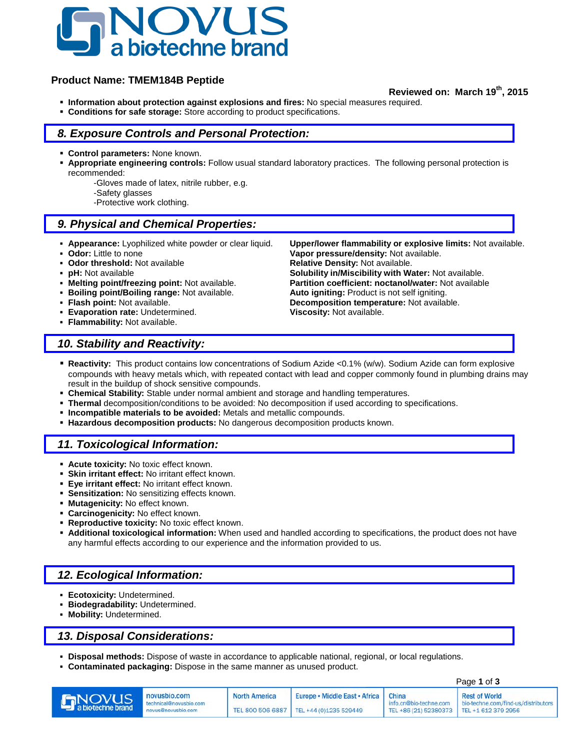

## **Product Name: TMEM184B Peptide**

#### **Reviewed on: March 19th, 2015**

- **Information about protection against explosions and fires:** No special measures required.
- **Conditions for safe storage:** Store according to product specifications.

### *8. Exposure Controls and Personal Protection:*

- **Control parameters:** None known.
- **Appropriate engineering controls:** Follow usual standard laboratory practices. The following personal protection is recommended:
	- -Gloves made of latex, nitrile rubber, e.g.
	- -Safety glasses
	- -Protective work clothing.

## *9. Physical and Chemical Properties:*

- 
- 
- 
- 
- 
- **Boiling point/Boiling range: Not available.**<br> **Flash point: Not available.**
- 
- **Evaporation rate:** Undetermined. **Viscosity:** Not available.
- **Flammability:** Not available.

 **Appearance:** Lyophilized white powder or clear liquid. **Upper/lower flammability or explosive limits:** Not available. **Odor:** Little to none **Vapor pressure/density:** Not available.<br> **Odor threshold:** Not available **Constant Relative Density:** Not available. **Relative Density: Not available. pH:** Not available **phenomic in the Solubility in/Miscibility with Water:** Not available.<br>**Nelting point/freezing point:** Not available. **Partition coefficient: noctanol/water:** Not available **Partition coefficient: noctanol/water:** Not available.<br>**Auto igniting:** Product is not self igniting. **Flash point:** Not available. **Decomposition temperature:** Not available.

## *10. Stability and Reactivity:*

- **Reactivity:** This product contains low concentrations of Sodium Azide <0.1% (w/w). Sodium Azide can form explosive compounds with heavy metals which, with repeated contact with lead and copper commonly found in plumbing drains may result in the buildup of shock sensitive compounds.
- **Chemical Stability:** Stable under normal ambient and storage and handling temperatures.
- **Thermal** decomposition/conditions to be avoided: No decomposition if used according to specifications.
- **Incompatible materials to be avoided:** Metals and metallic compounds.
- **Hazardous decomposition products:** No dangerous decomposition products known.

#### *11. Toxicological Information:*

- **Acute toxicity:** No toxic effect known.
- **Skin irritant effect:** No irritant effect known.
- **Eye irritant effect:** No irritant effect known.
- **Sensitization:** No sensitizing effects known.
- **Mutagenicity:** No effect known.
- **Carcinogenicity:** No effect known.
- **Reproductive toxicity:** No toxic effect known.
- **Additional toxicological information:** When used and handled according to specifications, the product does not have any harmful effects according to our experience and the information provided to us.

## *12. Ecological Information:*

- **Ecotoxicity:** Undetermined.
- **Biodegradability:** Undetermined.
- **Mobility:** Undetermined.

## *13. Disposal Considerations:*

- **Disposal methods:** Dispose of waste in accordance to applicable national, regional, or local regulations.
- **Contaminated packaging:** Dispose in the same manner as unused product.

|                    |                                                              |                      | Page 1 of 3                                                                        |                                                                     |                                                             |
|--------------------|--------------------------------------------------------------|----------------------|------------------------------------------------------------------------------------|---------------------------------------------------------------------|-------------------------------------------------------------|
| <b>Environment</b> | novusbio.com<br>technical@novusbio.com<br>novus@novusbio.com | <b>North America</b> | Europe • Middle East • Africa   China<br>TEL 800 506 6887   TEL +44 (0)1235 529449 | info.cn@bio-techne.com<br>TEL +86 (21) 52380373 TEL +1 612 379 2956 | <b>Rest of World</b><br>bio-techne.com/find-us/distributors |